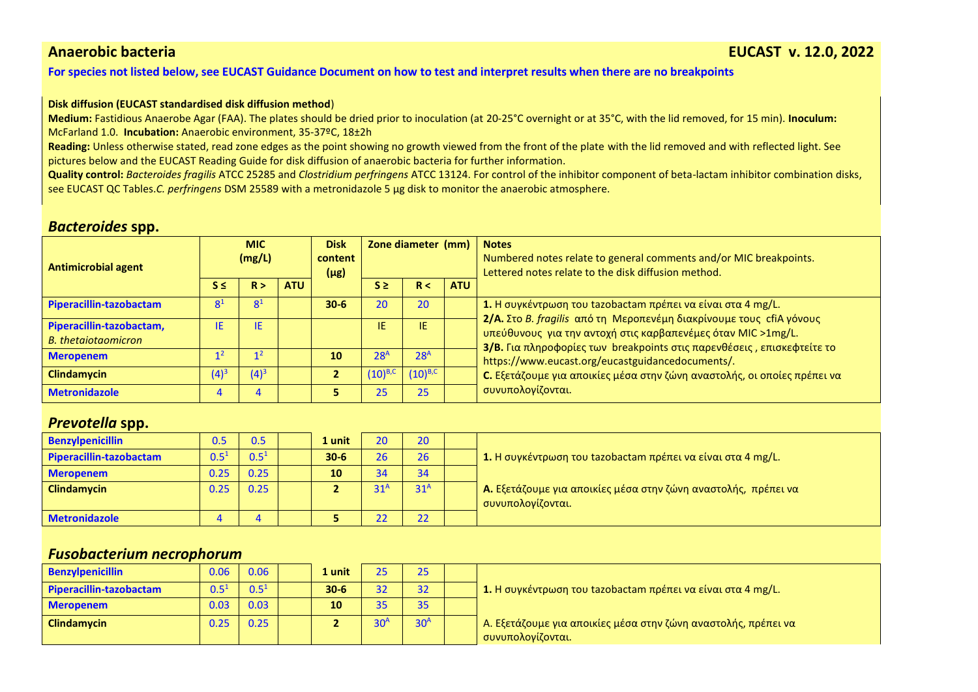### **[For species not listed below, see EUCAST Guidance Document on how to test and interpret results when there are no breakpoints](https://www.eucast.org/eucastguidancedocuments/)**

#### **Disk diffusion (EUCAST standardised disk diffusion method**)

**Medium:** Fastidious Anaerobe Agar (FAA). The plates should be dried prior to inoculation (at 20-25°C overnight or at 35°C, with the lid removed, for 15 min). **Inoculum:** McFarland 1.0. **Incubation:** Anaerobic environment, 35-37ºC, 18±2h

**Reading:** Unless otherwise stated, read zone edges as the point showing no growth viewed from the front of the plate with the lid removed and with reflected light. See pictures below and the EUCAST Reading Guide for disk diffusion of anaerobic bacteria for further information.

**Quality control:** *Bacteroides fragilis* ATCC 25285 and *Clostridium perfringens* ATCC 13124. For control of the inhibitor component of beta-lactam inhibitor combination disks, see EUCAST QC Tables.*C. perfringens* DSM 25589 with a metronidazole 5 µg disk to monitor the anaerobic atmosphere.

## *Bacteroides* **spp.**

| <b>Antimicrobial agent</b>                             | <b>MIC</b><br>(mg/L) |                |            | <b>Disk</b><br>content<br>$(\mu$ g) | Zone diameter (mm) |                 |            | <b>Notes</b><br>Numbered notes relate to general comments and/or MIC breakpoints.<br>Lettered notes relate to the disk diffusion method. |
|--------------------------------------------------------|----------------------|----------------|------------|-------------------------------------|--------------------|-----------------|------------|------------------------------------------------------------------------------------------------------------------------------------------|
|                                                        | $S \leq$             | R >            | <b>ATU</b> |                                     | $S \ge$            | R<              | <b>ATU</b> |                                                                                                                                          |
| Piperacillin-tazobactam                                | 8 <sup>1</sup>       | 8 <sup>1</sup> |            | $30-6$                              | 20                 | 20              |            | 1. Η συγκέντρωση του tazobactam πρέπει να είναι στα 4 mg/L.<br>2/A. Στο B. fragilis από τη Μεροπενέμη διακρίνουμε τους cfiA γόνους       |
| Piperacillin-tazobactam,<br><b>B.</b> thetaiotaomicron | ΙE                   | IE             |            |                                     | IE                 | IE.             |            | υπεύθυνους για την αντοχή στις καρβαπενέμες όταν MIC >1mg/L.<br>3/B. Για πληροφορίες των breakpoints στις παρενθέσεις, επισκεφτείτε το   |
| <b>Meropenem</b>                                       | 1 Z                  | 1 Z            |            | 10                                  | 28 <sup>A</sup>    | 28 <sup>A</sup> |            | https://www.eucast.org/eucastguidancedocuments/.                                                                                         |
| <b>Clindamycin</b>                                     | $(4)^3$              | $(4)^3$        |            |                                     | $(10)^{B,C}$       | $(10)^{B,C}$    |            | C. Εξετάζουμε για αποικίες μέσα στην ζώνη αναστολής, οι οποίες πρέπει να                                                                 |
| <b>Metronidazole</b>                                   |                      |                |            |                                     | 25                 | 25              |            | συνυπολογίζονται.                                                                                                                        |

## *Prevotella* **spp.**

| <b>Benzylpenicillin</b> | 0.5       | 0.5       | . unit   | 20              | 20              |                                                                       |
|-------------------------|-----------|-----------|----------|-----------------|-----------------|-----------------------------------------------------------------------|
| Piperacillin-tazobactam | $0.5^{1}$ | $0.5^{1}$ | $30 - 6$ | 26              | 26              | 1. Η συγκέντρωση του tazobactam πρέπει να είναι στα 4 mg/L.           |
| <b>Meropenem</b>        | 0.25      | 0.25      | 10       | 34              | 34              |                                                                       |
| <b>Clindamycin</b>      | 0.25      | 0.25      |          | 31 <sup>A</sup> | 31 <sup>A</sup> | <b>Α.</b> Εξετάζουμε για αποικίες μέσα στην ζώνη αναστολής, πρέπει να |
|                         |           |           |          |                 |                 | συνυπολογίζονται.                                                     |
| <b>Metronidazole</b>    |           |           |          | 22              | 22              |                                                                       |

## *Fusobacterium necrophorum*

| <b>Benzylpenicillin</b> | 0.06      | 0.06      | 1 unit   | 25              | 25              |                                                                                     |  |
|-------------------------|-----------|-----------|----------|-----------------|-----------------|-------------------------------------------------------------------------------------|--|
| Piperacillin-tazobactam | $0.5^{1}$ | $0.5^{1}$ | $30 - 6$ | 32              | 32              | 1. Η συγκέντρωση του tazobactam πρέπει να είναι στα 4 mg/L.                         |  |
| <b>Meropenem</b>        | 0.03      | 0.03      | 10       | 35              | 35              |                                                                                     |  |
| <b>Clindamycin</b>      | 0.25      | 0.25      |          | 30 <sup>A</sup> | 30 <sup>A</sup> | Α. Εξετάζουμε για αποικίες μέσα στην ζώνη αναστολής, πρέπει να<br>συνυπολογίζονται. |  |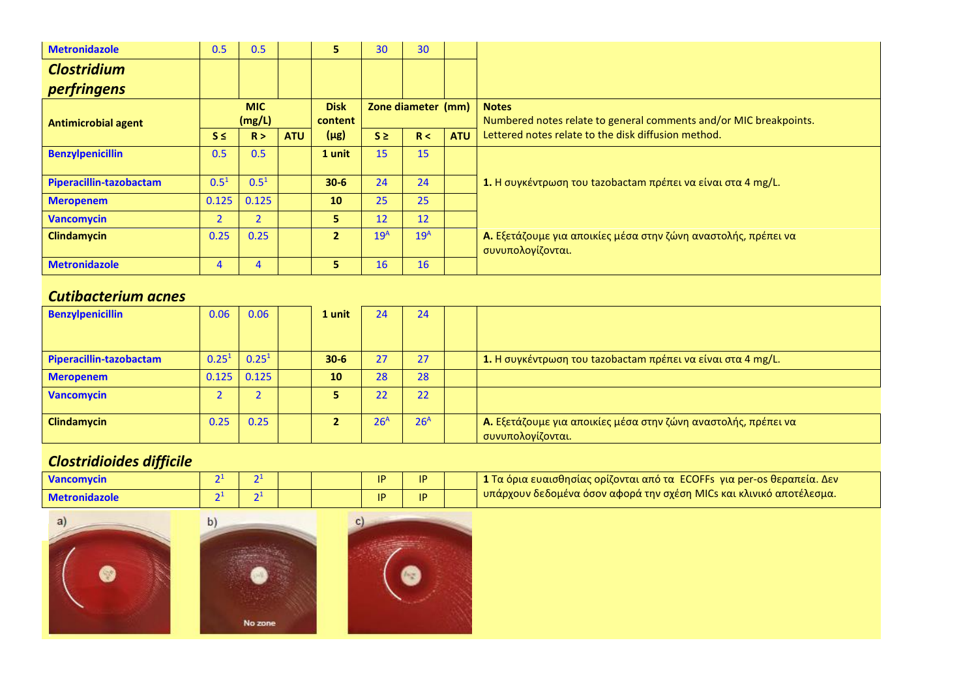| <b>Metronidazole</b>       | 0.5                  | 0.5       |                        | 5.                 | 30              | 30              |                                                                                   |                                                                                     |
|----------------------------|----------------------|-----------|------------------------|--------------------|-----------------|-----------------|-----------------------------------------------------------------------------------|-------------------------------------------------------------------------------------|
| <b>Clostridium</b>         |                      |           |                        |                    |                 |                 |                                                                                   |                                                                                     |
| perfringens                |                      |           |                        |                    |                 |                 |                                                                                   |                                                                                     |
| <b>Antimicrobial agent</b> | <b>MIC</b><br>(mg/L) |           | <b>Disk</b><br>content | Zone diameter (mm) |                 |                 | <b>Notes</b><br>Numbered notes relate to general comments and/or MIC breakpoints. |                                                                                     |
|                            | $S \leq$             | R >       | <b>ATU</b>             | $(\mu$ g)          | $S \geq$        | R <             | <b>ATU</b>                                                                        | Lettered notes relate to the disk diffusion method.                                 |
| <b>Benzylpenicillin</b>    | 0.5                  | 0.5       |                        | 1 unit             | 15              | 15              |                                                                                   |                                                                                     |
| Piperacillin-tazobactam    | $0.5^{1}$            | $0.5^{1}$ |                        | $30-6$             | 24              | 24              |                                                                                   | 1. Η συγκέντρωση του tazobactam πρέπει να είναι στα 4 mg/L.                         |
| <b>Meropenem</b>           | 0.125                | 0.125     |                        | 10                 | 25              | 25              |                                                                                   |                                                                                     |
| <b>Vancomycin</b>          | $\overline{2}$       |           |                        | 5.                 | 12              | 12 <sup>2</sup> |                                                                                   |                                                                                     |
| <b>Clindamycin</b>         | 0.25                 | 0.25      |                        | $\overline{2}$     | 19 <sup>A</sup> | 19 <sup>A</sup> |                                                                                   | Α. Εξετάζουμε για αποικίες μέσα στην ζώνη αναστολής, πρέπει να<br>συνυπολογίζονται. |
| <b>Metronidazole</b>       | 4                    |           |                        | 5.                 | 16              | 16              |                                                                                   |                                                                                     |

## *Cutibacterium acnes*

| <b>Benzylpenicillin</b> | 0.06              | 0.06       | 1 unit   | 24              | 24              |                                                                                     |
|-------------------------|-------------------|------------|----------|-----------------|-----------------|-------------------------------------------------------------------------------------|
|                         |                   |            |          |                 |                 |                                                                                     |
| Piperacillin-tazobactam | 0.25 <sup>1</sup> | $0.25^{1}$ | $30 - 6$ | 27              | 27              | 1. Η συγκέντρωση του tazobactam πρέπει να είναι στα 4 mg/L.                         |
| <b>Meropenem</b>        | 0.125             | 0.125      | 10       | 28              | 28              |                                                                                     |
| Vancomycin              |                   |            |          | 22              | 22              |                                                                                     |
| <b>Clindamycin</b>      | 0.25              | 0.25       |          | 26 <sup>A</sup> | 26 <sup>A</sup> | Α. Εξετάζουμε για αποικίες μέσα στην ζώνη αναστολής, πρέπει να<br>συνυπολογίζονται. |

# *Clostridioides difficile*

| <b>Vancomycin</b>    |  |  | IP | IP |                                                                                    |
|----------------------|--|--|----|----|------------------------------------------------------------------------------------|
| <b>Metronidazole</b> |  |  | IP | IP | <sup>ι</sup> υπάρχουν δεδομένα όσον αφορά την σχέση MICs και κλινικό αποτέλεσμα. ' |